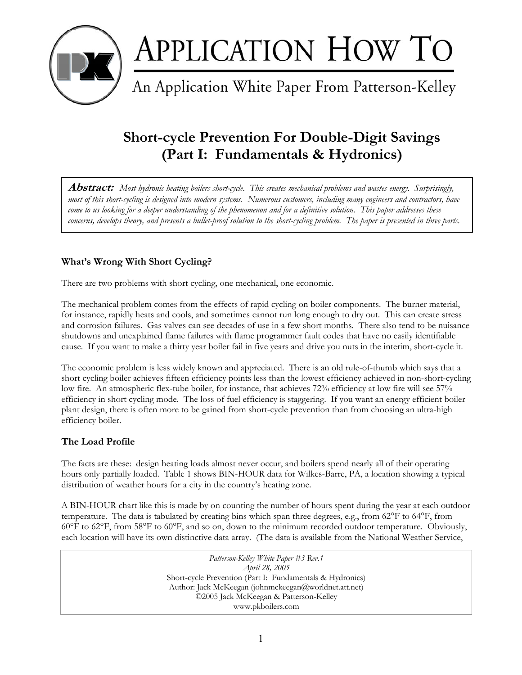

# **APPLICATION HOW TO**<br>An Application White Paper From Patterson-Kelley

## **Short-cycle Prevention For Double-Digit Savings (Part I: Fundamentals & Hydronics)**

**Abstract:** *Most hydronic heating boilers short-cycle. This creates mechanical problems and wastes energy. Surprisingly, most of this short-cycling is designed into modern systems. Numerous customers, including many engineers and contractors, have come to us looking for a deeper understanding of the phenomenon and for a definitive solution. This paper addresses these concerns, develops theory, and presents a bullet-proof solution to the short-cycling problem. The paper is presented in three parts.*

#### **What's Wrong With Short Cycling?**

There are two problems with short cycling, one mechanical, one economic.

The mechanical problem comes from the effects of rapid cycling on boiler components. The burner material, for instance, rapidly heats and cools, and sometimes cannot run long enough to dry out. This can create stress and corrosion failures. Gas valves can see decades of use in a few short months. There also tend to be nuisance shutdowns and unexplained flame failures with flame programmer fault codes that have no easily identifiable cause. If you want to make a thirty year boiler fail in five years and drive you nuts in the interim, short-cycle it.

The economic problem is less widely known and appreciated. There is an old rule-of-thumb which says that a short cycling boiler achieves fifteen efficiency points less than the lowest efficiency achieved in non-short-cycling low fire. An atmospheric flex-tube boiler, for instance, that achieves 72% efficiency at low fire will see 57% efficiency in short cycling mode. The loss of fuel efficiency is staggering. If you want an energy efficient boiler plant design, there is often more to be gained from short-cycle prevention than from choosing an ultra-high efficiency boiler.

#### **The Load Profile**

The facts are these: design heating loads almost never occur, and boilers spend nearly all of their operating hours only partially loaded. Table 1 shows BIN-HOUR data for Wilkes-Barre, PA, a location showing a typical distribution of weather hours for a city in the country's heating zone.

A BIN-HOUR chart like this is made by on counting the number of hours spent during the year at each outdoor temperature. The data is tabulated by creating bins which span three degrees, e.g., from 62°F to 64°F, from 60°F to 62°F, from 58°F to 60°F, and so on, down to the minimum recorded outdoor temperature. Obviously, each location will have its own distinctive data array. (The data is available from the National Weather Service,

> *Patterson-Kelley White Paper #3 Rev.1 April 28, 2005*  Short-cycle Prevention (Part I: Fundamentals & Hydronics) Author: Jack McKeegan (johnmckeegan@worldnet.att.net) ©2005 Jack McKeegan & Patterson-Kelley www.pkboilers.com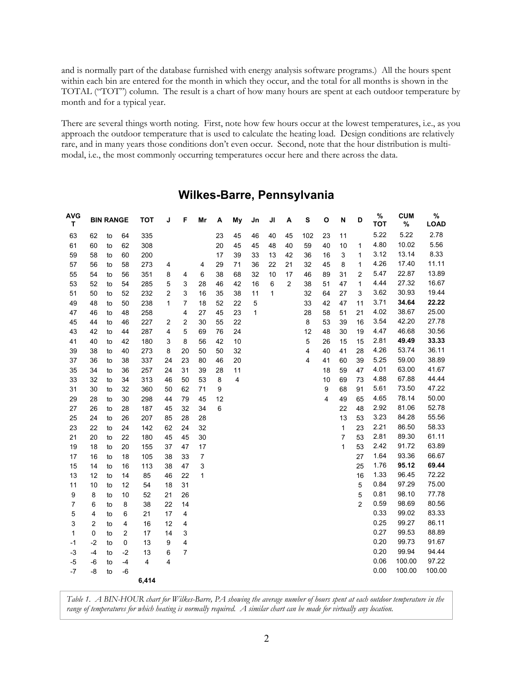and is normally part of the database furnished with energy analysis software programs.) All the hours spent within each bin are entered for the month in which they occur, and the total for all months is shown in the TOTAL ("TOT") column. The result is a chart of how many hours are spent at each outdoor temperature by month and for a typical year.

There are several things worth noting. First, note how few hours occur at the lowest temperatures, i.e., as you approach the outdoor temperature that is used to calculate the heating load. Design conditions are relatively rare, and in many years those conditions don't even occur. Second, note that the hour distribution is multimodal, i.e., the most commonly occurring temperatures occur here and there across the data.

| <b>AVG</b><br>т | <b>BIN RANGE</b> |    | <b>TOT</b>     | J     | F                       | Mr                      | А  | My | Jn | JI | А  | s              | O   | N  | D  | $\%$<br>тот    | <b>CUM</b><br>% | $\%$<br><b>LOAD</b> |        |
|-----------------|------------------|----|----------------|-------|-------------------------|-------------------------|----|----|----|----|----|----------------|-----|----|----|----------------|-----------------|---------------------|--------|
| 63              | 62               | to | 64             | 335   |                         |                         |    | 23 | 45 | 46 | 40 | 45             | 102 | 23 | 11 |                | 5.22            | 5.22                | 2.78   |
| 61              | 60               | to | 62             | 308   |                         |                         |    | 20 | 45 | 45 | 48 | 40             | 59  | 40 | 10 | 1              | 4.80            | 10.02               | 5.56   |
| 59              | 58               | to | 60             | 200   |                         |                         |    | 17 | 39 | 33 | 13 | 42             | 36  | 16 | 3  | 1              | 3.12            | 13.14               | 8.33   |
| 57              | 56               | to | 58             | 273   | 4                       |                         | 4  | 29 | 71 | 36 | 22 | 21             | 32  | 45 | 8  | 1              | 4.26            | 17.40               | 11.11  |
| 55              | 54               | to | 56             | 351   | 8                       | 4                       | 6  | 38 | 68 | 32 | 10 | 17             | 46  | 89 | 31 | 2              | 5.47            | 22.87               | 13.89  |
| 53              | 52               | to | 54             | 285   | 5                       | 3                       | 28 | 46 | 42 | 16 | 6  | $\overline{2}$ | 38  | 51 | 47 | 1              | 4.44            | 27.32               | 16.67  |
| 51              | 50               | to | 52             | 232   | $\overline{c}$          | 3                       | 16 | 35 | 38 | 11 | 1  |                | 32  | 64 | 27 | 3              | 3.62            | 30.93               | 19.44  |
| 49              | 48               | to | 50             | 238   | 1                       | 7                       | 18 | 52 | 22 | 5  |    |                | 33  | 42 | 47 | 11             | 3.71            | 34.64               | 22.22  |
| 47              | 46               | to | 48             | 258   |                         | 4                       | 27 | 45 | 23 | 1  |    |                | 28  | 58 | 51 | 21             | 4.02            | 38.67               | 25.00  |
| 45              | 44               | to | 46             | 227   | $\overline{\mathbf{c}}$ | $\overline{\mathbf{c}}$ | 30 | 55 | 22 |    |    |                | 8   | 53 | 39 | 16             | 3.54            | 42.20               | 27.78  |
| 43              | 42               | to | 44             | 287   | 4                       | 5                       | 69 | 76 | 24 |    |    |                | 12  | 48 | 30 | 19             | 4.47            | 46.68               | 30.56  |
| 41              | 40               | to | 42             | 180   | 3                       | 8                       | 56 | 42 | 10 |    |    |                | 5   | 26 | 15 | 15             | 2.81            | 49.49               | 33.33  |
| 39              | 38               | to | 40             | 273   | 8                       | 20                      | 50 | 50 | 32 |    |    |                | 4   | 40 | 41 | 28             | 4.26            | 53.74               | 36.11  |
| 37              | 36               | to | 38             | 337   | 24                      | 23                      | 80 | 46 | 20 |    |    |                | 4   | 41 | 60 | 39             | 5.25            | 59.00               | 38.89  |
| 35              | 34               | to | 36             | 257   | 24                      | 31                      | 39 | 28 | 11 |    |    |                |     | 18 | 59 | 47             | 4.01            | 63.00               | 41.67  |
| 33              | 32               | to | 34             | 313   | 46                      | 50                      | 53 | 8  | 4  |    |    |                |     | 10 | 69 | 73             | 4.88            | 67.88               | 44.44  |
| 31              | 30               | to | 32             | 360   | 50                      | 62                      | 71 | 9  |    |    |    |                |     | 9  | 68 | 91             | 5.61            | 73.50               | 47.22  |
| 29              | 28               | to | 30             | 298   | 44                      | 79                      | 45 | 12 |    |    |    |                |     | 4  | 49 | 65             | 4.65            | 78.14               | 50.00  |
| 27              | 26               | to | 28             | 187   | 45                      | 32                      | 34 | 6  |    |    |    |                |     |    | 22 | 48             | 2.92            | 81.06               | 52.78  |
| 25              | 24               | to | 26             | 207   | 85                      | 28                      | 28 |    |    |    |    |                |     |    | 13 | 53             | 3.23            | 84.28               | 55.56  |
| 23              | 22               | to | 24             | 142   | 62                      | 24                      | 32 |    |    |    |    |                |     |    | 1  | 23             | 2.21            | 86.50               | 58.33  |
| 21              | 20               | to | 22             | 180   | 45                      | 45                      | 30 |    |    |    |    |                |     |    | 7  | 53             | 2.81            | 89.30               | 61.11  |
| 19              | 18               | to | 20             | 155   | 37                      | 47                      | 17 |    |    |    |    |                |     |    | 1  | 53             | 2.42            | 91.72               | 63.89  |
| 17              | 16               | to | 18             | 105   | 38                      | 33                      | 7  |    |    |    |    |                |     |    |    | 27             | 1.64            | 93.36               | 66.67  |
| 15              | 14               | to | 16             | 113   | 38                      | 47                      | 3  |    |    |    |    |                |     |    |    | 25             | 1.76            | 95.12               | 69.44  |
| 13              | 12               | to | 14             | 85    | 46                      | 22                      | 1  |    |    |    |    |                |     |    |    | 16             | 1.33            | 96.45               | 72.22  |
| 11              | 10               | to | 12             | 54    | 18                      | 31                      |    |    |    |    |    |                |     |    |    | 5              | 0.84            | 97.29               | 75.00  |
| 9               | 8                | to | 10             | 52    | 21                      | 26                      |    |    |    |    |    |                |     |    |    | 5              | 0.81            | 98.10               | 77.78  |
| 7               | 6                | to | 8              | 38    | 22                      | 14                      |    |    |    |    |    |                |     |    |    | $\overline{2}$ | 0.59            | 98.69               | 80.56  |
| 5               | 4                | to | 6              | 21    | 17                      | 4                       |    |    |    |    |    |                |     |    |    |                | 0.33            | 99.02               | 83.33  |
| 3               | 2                | to | 4              | 16    | 12                      | 4                       |    |    |    |    |    |                |     |    |    |                | 0.25            | 99.27               | 86.11  |
| 1               | 0                | to | $\overline{c}$ | 17    | 14                      | 3                       |    |    |    |    |    |                |     |    |    |                | 0.27            | 99.53               | 88.89  |
| -1              | $-2$             | to | 0              | 13    | 9                       | 4                       |    |    |    |    |    |                |     |    |    |                | 0.20            | 99.73               | 91.67  |
| -3              | -4               | to | $-2$           | 13    | 6                       | $\overline{7}$          |    |    |    |    |    |                |     |    |    |                | 0.20            | 99.94               | 94.44  |
| -5              | -6               | to | $-4$           | 4     | 4                       |                         |    |    |    |    |    |                |     |    |    |                | 0.06            | 100.00              | 97.22  |
| -7              | -8               | to | -6             |       |                         |                         |    |    |    |    |    |                |     |    |    |                | 0.00            | 100.00              | 100.00 |
|                 |                  |    |                | 6,414 |                         |                         |    |    |    |    |    |                |     |    |    |                |                 |                     |        |

### **Wilkes-Barre, Pennsylvania**

*Table 1. A BIN-HOUR chart for Wilkes-Barre, PA showing the average number of hours spent at each outdoor temperature in the range of temperatures for which heating is normally required. A similar chart can be made for virtually any location.*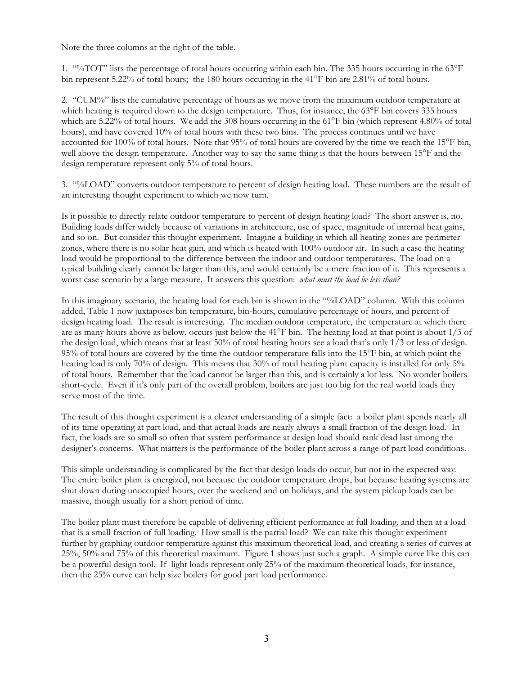Note the three columns at the right of the table.

1. "%TOT" lists the percentage of total hours occurring within each bin. The 335 hours occurring in the 63°F bin represent 5.22% of total hours; the 180 hours occurring in the 41°F bin are 2.81% of total hours.

2. "CUM%" lists the cumulative percentage of hours as we move from the maximum outdoor temperature at which heating is required down to the design temperature. Thus, for instance, the 63°F bin covers 335 hours which are 5.22% of total hours. We add the 308 hours occurring in the 61°F bin (which represent 4.80% of total hours), and have covered 10% of total hours with these two bins. The process continues until we have accounted for 100% of total hours. Note that 95% of total hours are covered by the time we reach the 15°F bin, well above the design temperature. Another way to say the same thing is that the hours between 15°F and the design temperature represent only 5% of total hours.

3. "%LOAD" converts outdoor temperature to percent of design heating load. These numbers are the result of an interesting thought experiment to which we now turn.

Is it possible to directly relate outdoor temperature to percent of design heating load? The short answer is, no. Building loads differ widely because of variations in architecture, use of space, magnitude of internal heat gains, and so on. But consider this thought experiment. Imagine a building in which all heating zones are perimeter zones, where there is no solar heat gain, and which is heated with 100% outdoor air. In such a case the heating load would be proportional to the difference between the indoor and outdoor temperatures. The load on a typical building clearly cannot be larger than this, and would certainly be a mere fraction of it. This represents a worst case scenario by a large measure. It answers this question: *what must the load be less than?*

In this imaginary scenario, the heating load for each bin is shown in the "%LOAD" column. With this column added, Table 1 now juxtaposes bin temperature, bin-hours, cumulative percentage of hours, and percent of design heating load. The result is interesting. The median outdoor temperature, the temperature at which there are as many hours above as below, occurs just below the 41°F bin. The heating load at that point is about 1/3 of the design load, which means that at least 50% of total heating hours see a load that's only 1/3 or less of design. 95% of total hours are covered by the time the outdoor temperature falls into the 15°F bin, at which point the heating load is only 70% of design. This means that 30% of total heating plant capacity is installed for only 5% of total hours. Remember that the load cannot be larger than this, and is certainly a lot less. No wonder boilers short-cycle. Even if it's only part of the overall problem, boilers are just too big for the real world loads they serve most of the time.

The result of this thought experiment is a clearer understanding of a simple fact: a boiler plant spends nearly all of its time operating at part load, and that actual loads are nearly always a small fraction of the design load. In fact, the loads are so small so often that system performance at design load should rank dead last among the designer's concerns. What matters is the performance of the boiler plant across a range of part load conditions.

This simple understanding is complicated by the fact that design loads do occur, but not in the expected way. The entire boiler plant is energized, not because the outdoor temperature drops, but because heating systems are shut down during unoccupied hours, over the weekend and on holidays, and the system pickup loads can be massive, though usually for a short period of time.

The boiler plant must therefore be capable of delivering efficient performance at full loading, and then at a load that is a small fraction of full loading. How small is the partial load? We can take this thought experiment further by graphing outdoor temperature against this maximum theoretical load, and creating a series of curves at 25%, 50% and 75% of this theoretical maximum. Figure 1 shows just such a graph. A simple curve like this can be a powerful design tool. If light loads represent only 25% of the maximum theoretical loads, for instance, then the 25% curve can help size boilers for good part load performance.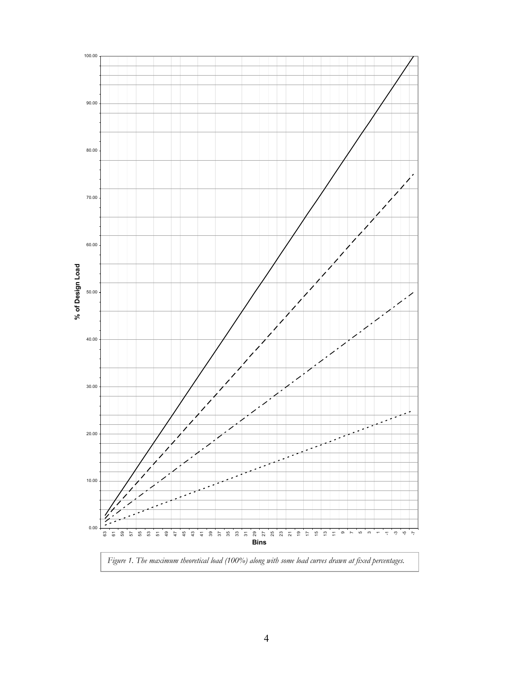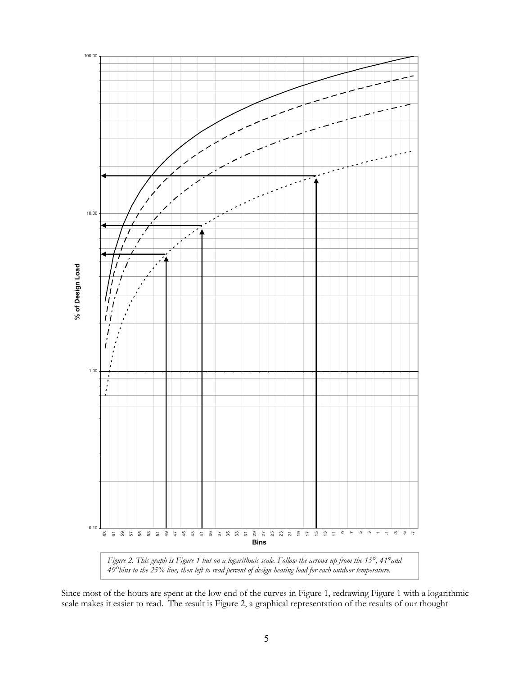

Since most of the hours are spent at the low end of the curves in Figure 1, redrawing Figure 1 with a logarithmic scale makes it easier to read. The result is Figure 2, a graphical representation of the results of our thought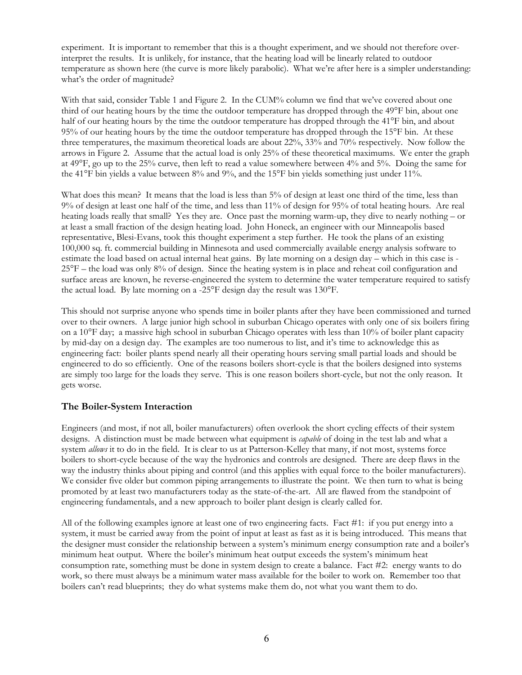experiment. It is important to remember that this is a thought experiment, and we should not therefore overinterpret the results. It is unlikely, for instance, that the heating load will be linearly related to outdoor temperature as shown here (the curve is more likely parabolic). What we're after here is a simpler understanding: what's the order of magnitude?

With that said, consider Table 1 and Figure 2. In the CUM% column we find that we've covered about one third of our heating hours by the time the outdoor temperature has dropped through the 49°F bin, about one half of our heating hours by the time the outdoor temperature has dropped through the 41°F bin, and about 95% of our heating hours by the time the outdoor temperature has dropped through the 15°F bin. At these three temperatures, the maximum theoretical loads are about 22%, 33% and 70% respectively. Now follow the arrows in Figure 2. Assume that the actual load is only 25% of these theoretical maximums. We enter the graph at 49°F, go up to the 25% curve, then left to read a value somewhere between 4% and 5%. Doing the same for the 41°F bin yields a value between 8% and 9%, and the 15°F bin yields something just under 11%.

What does this mean? It means that the load is less than 5% of design at least one third of the time, less than 9% of design at least one half of the time, and less than 11% of design for 95% of total heating hours. Are real heating loads really that small? Yes they are. Once past the morning warm-up, they dive to nearly nothing – or at least a small fraction of the design heating load. John Honeck, an engineer with our Minneapolis based representative, Blesi-Evans, took this thought experiment a step further. He took the plans of an existing 100,000 sq. ft. commercial building in Minnesota and used commercially available energy analysis software to estimate the load based on actual internal heat gains. By late morning on a design day – which in this case is - 25°F – the load was only 8% of design. Since the heating system is in place and reheat coil configuration and surface areas are known, he reverse-engineered the system to determine the water temperature required to satisfy the actual load. By late morning on a -25°F design day the result was 130°F.

This should not surprise anyone who spends time in boiler plants after they have been commissioned and turned over to their owners. A large junior high school in suburban Chicago operates with only one of six boilers firing on a 10°F day; a massive high school in suburban Chicago operates with less than 10% of boiler plant capacity by mid-day on a design day. The examples are too numerous to list, and it's time to acknowledge this as engineering fact: boiler plants spend nearly all their operating hours serving small partial loads and should be engineered to do so efficiently. One of the reasons boilers short-cycle is that the boilers designed into systems are simply too large for the loads they serve. This is one reason boilers short-cycle, but not the only reason. It gets worse.

#### **The Boiler-System Interaction**

Engineers (and most, if not all, boiler manufacturers) often overlook the short cycling effects of their system designs. A distinction must be made between what equipment is *capable* of doing in the test lab and what a system *allows* it to do in the field. It is clear to us at Patterson-Kelley that many, if not most, systems force boilers to short-cycle because of the way the hydronics and controls are designed. There are deep flaws in the way the industry thinks about piping and control (and this applies with equal force to the boiler manufacturers). We consider five older but common piping arrangements to illustrate the point. We then turn to what is being promoted by at least two manufacturers today as the state-of-the-art. All are flawed from the standpoint of engineering fundamentals, and a new approach to boiler plant design is clearly called for.

All of the following examples ignore at least one of two engineering facts. Fact #1: if you put energy into a system, it must be carried away from the point of input at least as fast as it is being introduced. This means that the designer must consider the relationship between a system's minimum energy consumption rate and a boiler's minimum heat output. Where the boiler's minimum heat output exceeds the system's minimum heat consumption rate, something must be done in system design to create a balance. Fact #2: energy wants to do work, so there must always be a minimum water mass available for the boiler to work on. Remember too that boilers can't read blueprints; they do what systems make them do, not what you want them to do.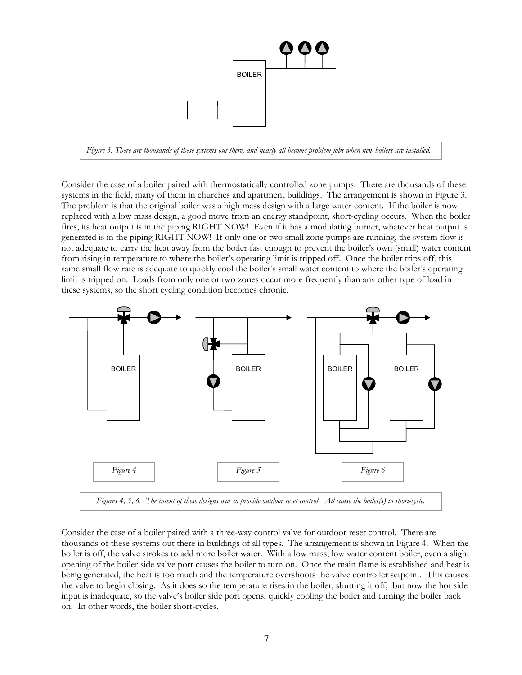

*Figure 3. There are thousands of these systems out there, and nearly all become problem jobs when new boilers are installed.* 

Consider the case of a boiler paired with thermostatically controlled zone pumps. There are thousands of these systems in the field, many of them in churches and apartment buildings. The arrangement is shown in Figure 3. The problem is that the original boiler was a high mass design with a large water content. If the boiler is now replaced with a low mass design, a good move from an energy standpoint, short-cycling occurs. When the boiler fires, its heat output is in the piping RIGHT NOW! Even if it has a modulating burner, whatever heat output is generated is in the piping RIGHT NOW! If only one or two small zone pumps are running, the system flow is not adequate to carry the heat away from the boiler fast enough to prevent the boiler's own (small) water content from rising in temperature to where the boiler's operating limit is tripped off. Once the boiler trips off, this same small flow rate is adequate to quickly cool the boiler's small water content to where the boiler's operating limit is tripped on. Loads from only one or two zones occur more frequently than any other type of load in these systems, so the short cycling condition becomes chronic.



Consider the case of a boiler paired with a three-way control valve for outdoor reset control. There are thousands of these systems out there in buildings of all types. The arrangement is shown in Figure 4. When the boiler is off, the valve strokes to add more boiler water. With a low mass, low water content boiler, even a slight opening of the boiler side valve port causes the boiler to turn on. Once the main flame is established and heat is being generated, the heat is too much and the temperature overshoots the valve controller setpoint. This causes the valve to begin closing. As it does so the temperature rises in the boiler, shutting it off; but now the hot side input is inadequate, so the valve's boiler side port opens, quickly cooling the boiler and turning the boiler back on. In other words, the boiler short-cycles.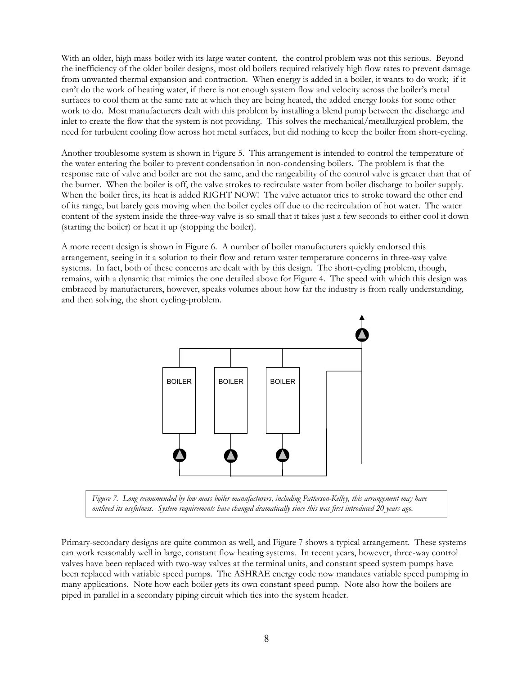With an older, high mass boiler with its large water content, the control problem was not this serious. Beyond the inefficiency of the older boiler designs, most old boilers required relatively high flow rates to prevent damage from unwanted thermal expansion and contraction. When energy is added in a boiler, it wants to do work; if it can't do the work of heating water, if there is not enough system flow and velocity across the boiler's metal surfaces to cool them at the same rate at which they are being heated, the added energy looks for some other work to do. Most manufacturers dealt with this problem by installing a blend pump between the discharge and inlet to create the flow that the system is not providing. This solves the mechanical/metallurgical problem, the need for turbulent cooling flow across hot metal surfaces, but did nothing to keep the boiler from short-cycling.

Another troublesome system is shown in Figure 5. This arrangement is intended to control the temperature of the water entering the boiler to prevent condensation in non-condensing boilers. The problem is that the response rate of valve and boiler are not the same, and the rangeability of the control valve is greater than that of the burner. When the boiler is off, the valve strokes to recirculate water from boiler discharge to boiler supply. When the boiler fires, its heat is added RIGHT NOW! The valve actuator tries to stroke toward the other end of its range, but barely gets moving when the boiler cycles off due to the recirculation of hot water. The water content of the system inside the three-way valve is so small that it takes just a few seconds to either cool it down (starting the boiler) or heat it up (stopping the boiler).

A more recent design is shown in Figure 6. A number of boiler manufacturers quickly endorsed this arrangement, seeing in it a solution to their flow and return water temperature concerns in three-way valve systems. In fact, both of these concerns are dealt with by this design. The short-cycling problem, though, remains, with a dynamic that mimics the one detailed above for Figure 4. The speed with which this design was embraced by manufacturers, however, speaks volumes about how far the industry is from really understanding, and then solving, the short cycling-problem.



*Figure 7. Long recommended by low mass boiler manufacturers, including Patterson-Kelley, this arrangement may have outlived its usefulness. System requirements have changed dramatically since this was first introduced 20 years ago.* 

Primary-secondary designs are quite common as well, and Figure 7 shows a typical arrangement. These systems can work reasonably well in large, constant flow heating systems. In recent years, however, three-way control valves have been replaced with two-way valves at the terminal units, and constant speed system pumps have been replaced with variable speed pumps. The ASHRAE energy code now mandates variable speed pumping in many applications. Note how each boiler gets its own constant speed pump. Note also how the boilers are piped in parallel in a secondary piping circuit which ties into the system header.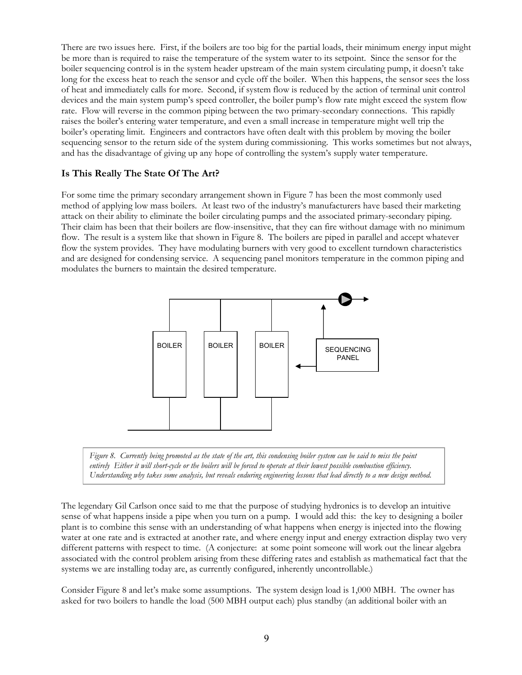There are two issues here. First, if the boilers are too big for the partial loads, their minimum energy input might be more than is required to raise the temperature of the system water to its setpoint. Since the sensor for the boiler sequencing control is in the system header upstream of the main system circulating pump, it doesn't take long for the excess heat to reach the sensor and cycle off the boiler. When this happens, the sensor sees the loss of heat and immediately calls for more. Second, if system flow is reduced by the action of terminal unit control devices and the main system pump's speed controller, the boiler pump's flow rate might exceed the system flow rate. Flow will reverse in the common piping between the two primary-secondary connections. This rapidly raises the boiler's entering water temperature, and even a small increase in temperature might well trip the boiler's operating limit. Engineers and contractors have often dealt with this problem by moving the boiler sequencing sensor to the return side of the system during commissioning. This works sometimes but not always, and has the disadvantage of giving up any hope of controlling the system's supply water temperature.

#### **Is This Really The State Of The Art?**

For some time the primary secondary arrangement shown in Figure 7 has been the most commonly used method of applying low mass boilers. At least two of the industry's manufacturers have based their marketing attack on their ability to eliminate the boiler circulating pumps and the associated primary-secondary piping. Their claim has been that their boilers are flow-insensitive, that they can fire without damage with no minimum flow. The result is a system like that shown in Figure 8. The boilers are piped in parallel and accept whatever flow the system provides. They have modulating burners with very good to excellent turndown characteristics and are designed for condensing service. A sequencing panel monitors temperature in the common piping and modulates the burners to maintain the desired temperature.





The legendary Gil Carlson once said to me that the purpose of studying hydronics is to develop an intuitive sense of what happens inside a pipe when you turn on a pump. I would add this: the key to designing a boiler plant is to combine this sense with an understanding of what happens when energy is injected into the flowing water at one rate and is extracted at another rate, and where energy input and energy extraction display two very different patterns with respect to time. (A conjecture: at some point someone will work out the linear algebra associated with the control problem arising from these differing rates and establish as mathematical fact that the systems we are installing today are, as currently configured, inherently uncontrollable.)

Consider Figure 8 and let's make some assumptions. The system design load is 1,000 MBH. The owner has asked for two boilers to handle the load (500 MBH output each) plus standby (an additional boiler with an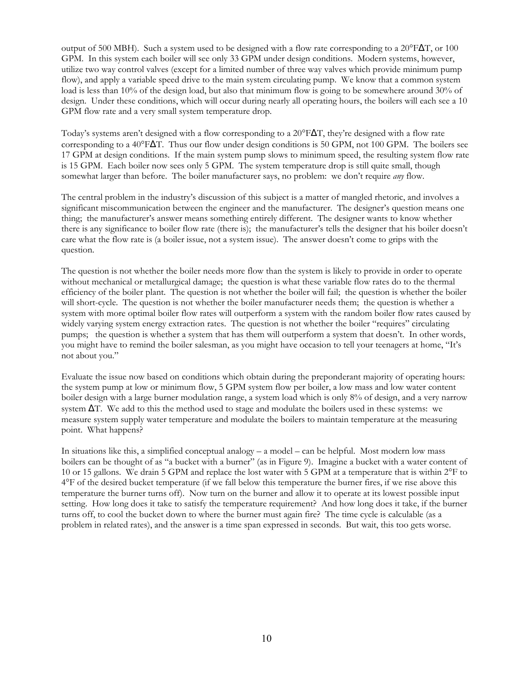output of 500 MBH). Such a system used to be designed with a flow rate corresponding to a  $20^{\circ}F\Delta T$ , or 100 GPM. In this system each boiler will see only 33 GPM under design conditions. Modern systems, however, utilize two way control valves (except for a limited number of three way valves which provide minimum pump flow), and apply a variable speed drive to the main system circulating pump. We know that a common system load is less than 10% of the design load, but also that minimum flow is going to be somewhere around 30% of design. Under these conditions, which will occur during nearly all operating hours, the boilers will each see a 10 GPM flow rate and a very small system temperature drop.

Today's systems aren't designed with a flow corresponding to a 20°F∆T, they're designed with a flow rate corresponding to a 40°F∆T. Thus our flow under design conditions is 50 GPM, not 100 GPM. The boilers see 17 GPM at design conditions. If the main system pump slows to minimum speed, the resulting system flow rate is 15 GPM. Each boiler now sees only 5 GPM. The system temperature drop is still quite small, though somewhat larger than before. The boiler manufacturer says, no problem: we don't require *any* flow.

The central problem in the industry's discussion of this subject is a matter of mangled rhetoric, and involves a significant miscommunication between the engineer and the manufacturer. The designer's question means one thing; the manufacturer's answer means something entirely different. The designer wants to know whether there is any significance to boiler flow rate (there is); the manufacturer's tells the designer that his boiler doesn't care what the flow rate is (a boiler issue, not a system issue). The answer doesn't come to grips with the question.

The question is not whether the boiler needs more flow than the system is likely to provide in order to operate without mechanical or metallurgical damage; the question is what these variable flow rates do to the thermal efficiency of the boiler plant. The question is not whether the boiler will fail; the question is whether the boiler will short-cycle. The question is not whether the boiler manufacturer needs them; the question is whether a system with more optimal boiler flow rates will outperform a system with the random boiler flow rates caused by widely varying system energy extraction rates. The question is not whether the boiler "requires" circulating pumps; the question is whether a system that has them will outperform a system that doesn't. In other words, you might have to remind the boiler salesman, as you might have occasion to tell your teenagers at home, "It's not about you."

Evaluate the issue now based on conditions which obtain during the preponderant majority of operating hours: the system pump at low or minimum flow, 5 GPM system flow per boiler, a low mass and low water content boiler design with a large burner modulation range, a system load which is only 8% of design, and a very narrow system  $\Delta T$ . We add to this the method used to stage and modulate the boilers used in these systems: we measure system supply water temperature and modulate the boilers to maintain temperature at the measuring point. What happens?

In situations like this, a simplified conceptual analogy – a model – can be helpful. Most modern low mass boilers can be thought of as "a bucket with a burner" (as in Figure 9). Imagine a bucket with a water content of 10 or 15 gallons. We drain 5 GPM and replace the lost water with 5 GPM at a temperature that is within 2°F to 4°F of the desired bucket temperature (if we fall below this temperature the burner fires, if we rise above this temperature the burner turns off). Now turn on the burner and allow it to operate at its lowest possible input setting. How long does it take to satisfy the temperature requirement? And how long does it take, if the burner turns off, to cool the bucket down to where the burner must again fire? The time cycle is calculable (as a problem in related rates), and the answer is a time span expressed in seconds. But wait, this too gets worse.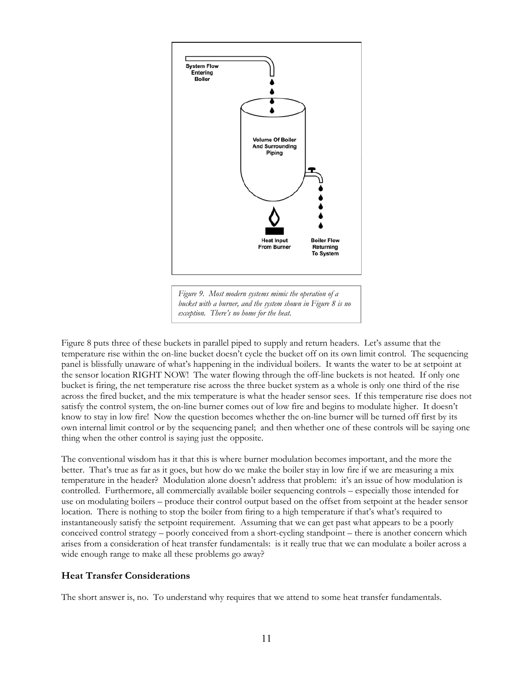

*exception. There's no home for the heat.* 

Figure 8 puts three of these buckets in parallel piped to supply and return headers. Let's assume that the temperature rise within the on-line bucket doesn't cycle the bucket off on its own limit control. The sequencing panel is blissfully unaware of what's happening in the individual boilers. It wants the water to be at setpoint at the sensor location RIGHT NOW! The water flowing through the off-line buckets is not heated. If only one bucket is firing, the net temperature rise across the three bucket system as a whole is only one third of the rise across the fired bucket, and the mix temperature is what the header sensor sees. If this temperature rise does not satisfy the control system, the on-line burner comes out of low fire and begins to modulate higher. It doesn't know to stay in low fire! Now the question becomes whether the on-line burner will be turned off first by its own internal limit control or by the sequencing panel; and then whether one of these controls will be saying one thing when the other control is saying just the opposite.

The conventional wisdom has it that this is where burner modulation becomes important, and the more the better. That's true as far as it goes, but how do we make the boiler stay in low fire if we are measuring a mix temperature in the header? Modulation alone doesn't address that problem: it's an issue of how modulation is controlled. Furthermore, all commercially available boiler sequencing controls – especially those intended for use on modulating boilers – produce their control output based on the offset from setpoint at the header sensor location. There is nothing to stop the boiler from firing to a high temperature if that's what's required to instantaneously satisfy the setpoint requirement. Assuming that we can get past what appears to be a poorly conceived control strategy – poorly conceived from a short-cycling standpoint – there is another concern which arises from a consideration of heat transfer fundamentals: is it really true that we can modulate a boiler across a wide enough range to make all these problems go away?

#### **Heat Transfer Considerations**

The short answer is, no. To understand why requires that we attend to some heat transfer fundamentals.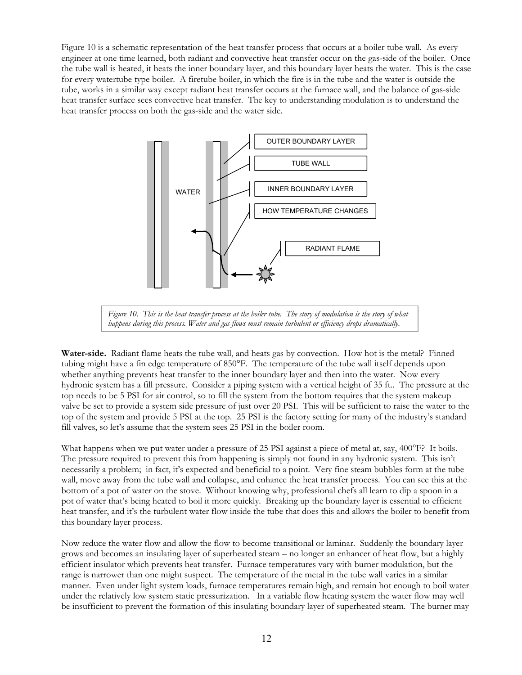Figure 10 is a schematic representation of the heat transfer process that occurs at a boiler tube wall. As every engineer at one time learned, both radiant and convective heat transfer occur on the gas-side of the boiler. Once the tube wall is heated, it heats the inner boundary layer, and this boundary layer heats the water. This is the case for every watertube type boiler. A firetube boiler, in which the fire is in the tube and the water is outside the tube, works in a similar way except radiant heat transfer occurs at the furnace wall, and the balance of gas-side heat transfer surface sees convective heat transfer. The key to understanding modulation is to understand the heat transfer process on both the gas-side and the water side.



*Figure 10. This is the heat transfer process at the boiler tube. The story of modulation is the story of what happens during this process. Water and gas flows must remain turbulent or efficiency drops dramatically.* 

**Water-side.** Radiant flame heats the tube wall, and heats gas by convection. How hot is the metal? Finned tubing might have a fin edge temperature of 850°F. The temperature of the tube wall itself depends upon whether anything prevents heat transfer to the inner boundary layer and then into the water. Now every hydronic system has a fill pressure. Consider a piping system with a vertical height of 35 ft.. The pressure at the top needs to be 5 PSI for air control, so to fill the system from the bottom requires that the system makeup valve be set to provide a system side pressure of just over 20 PSI. This will be sufficient to raise the water to the top of the system and provide 5 PSI at the top. 25 PSI is the factory setting for many of the industry's standard fill valves, so let's assume that the system sees 25 PSI in the boiler room.

What happens when we put water under a pressure of 25 PSI against a piece of metal at, say, 400°F? It boils. The pressure required to prevent this from happening is simply not found in any hydronic system. This isn't necessarily a problem; in fact, it's expected and beneficial to a point. Very fine steam bubbles form at the tube wall, move away from the tube wall and collapse, and enhance the heat transfer process. You can see this at the bottom of a pot of water on the stove. Without knowing why, professional chefs all learn to dip a spoon in a pot of water that's being heated to boil it more quickly. Breaking up the boundary layer is essential to efficient heat transfer, and it's the turbulent water flow inside the tube that does this and allows the boiler to benefit from this boundary layer process.

Now reduce the water flow and allow the flow to become transitional or laminar. Suddenly the boundary layer grows and becomes an insulating layer of superheated steam – no longer an enhancer of heat flow, but a highly efficient insulator which prevents heat transfer. Furnace temperatures vary with burner modulation, but the range is narrower than one might suspect. The temperature of the metal in the tube wall varies in a similar manner. Even under light system loads, furnace temperatures remain high, and remain hot enough to boil water under the relatively low system static pressurization. In a variable flow heating system the water flow may well be insufficient to prevent the formation of this insulating boundary layer of superheated steam. The burner may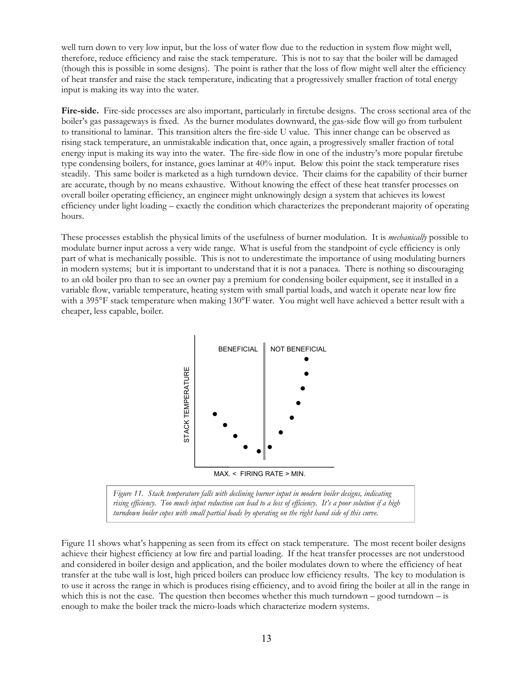well turn down to very low input, but the loss of water flow due to the reduction in system flow might well, therefore, reduce efficiency and raise the stack temperature. This is not to say that the boiler will be damaged (though this is possible in some designs). The point is rather that the loss of flow might well alter the efficiency of heat transfer and raise the stack temperature, indicating that a progressively smaller fraction of total energy input is making its way into the water.

**Fire-side.** Fire-side processes are also important, particularly in firetube designs. The cross sectional area of the boiler's gas passageways is fixed. As the burner modulates downward, the gas-side flow will go from turbulent to transitional to laminar. This transition alters the fire-side U value. This inner change can be observed as rising stack temperature, an unmistakable indication that, once again, a progressively smaller fraction of total energy input is making its way into the water. The fire-side flow in one of the industry's more popular firetube type condensing boilers, for instance, goes laminar at 40% input. Below this point the stack temperature rises steadily. This same boiler is marketed as a high turndown device. Their claims for the capability of their burner are accurate, though by no means exhaustive. Without knowing the effect of these heat transfer processes on overall boiler operating efficiency, an engineer might unknowingly design a system that achieves its lowest efficiency under light loading – exactly the condition which characterizes the preponderant majority of operating hours.

These processes establish the physical limits of the usefulness of burner modulation. It is *mechanically* possible to modulate burner input across a very wide range. What is useful from the standpoint of cycle efficiency is only part of what is mechanically possible. This is not to underestimate the importance of using modulating burners in modern systems; but it is important to understand that it is not a panacea. There is nothing so discouraging to an old boiler pro than to see an owner pay a premium for condensing boiler equipment, see it installed in a variable flow, variable temperature, heating system with small partial loads, and watch it operate near low fire with a 395°F stack temperature when making 130°F water. You might well have achieved a better result with a cheaper, less capable, boiler.



*Figure 11. Stack temperature falls with declining burner input in modern boiler designs, indicating rising efficiency. Too much input reduction can lead to a loss of efficiency. It's a poor solution if a high turndown boiler copes with small partial loads by operating on the right hand side of this curve.* 

Figure 11 shows what's happening as seen from its effect on stack temperature. The most recent boiler designs achieve their highest efficiency at low fire and partial loading. If the heat transfer processes are not understood and considered in boiler design and application, and the boiler modulates down to where the efficiency of heat transfer at the tube wall is lost, high priced boilers can produce low efficiency results. The key to modulation is to use it across the range in which is produces rising efficiency, and to avoid firing the boiler at all in the range in which this is not the case. The question then becomes whether this much turndown – good turndown – is example the boiler track temperature and the boiler track the micro-loads which characterize model in enough to make the boiler track the micro-loads which characterize model in the micro-loads which characterize model in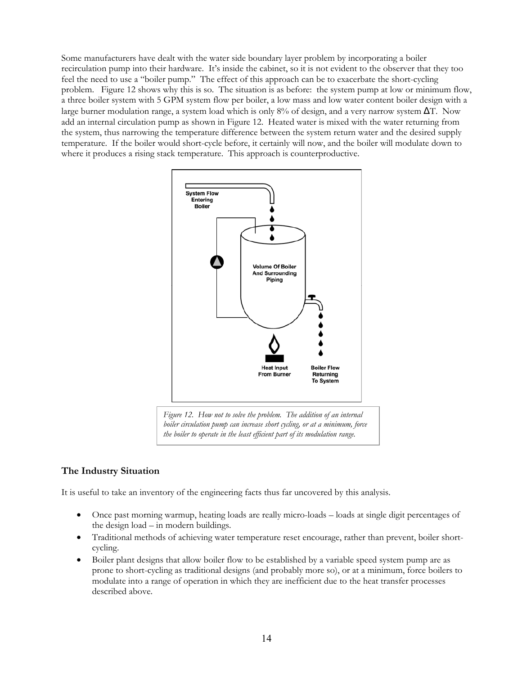Some manufacturers have dealt with the water side boundary layer problem by incorporating a boiler recirculation pump into their hardware. It's inside the cabinet, so it is not evident to the observer that they too feel the need to use a "boiler pump." The effect of this approach can be to exacerbate the short-cycling problem. Figure 12 shows why this is so. The situation is as before: the system pump at low or minimum flow, a three boiler system with 5 GPM system flow per boiler, a low mass and low water content boiler design with a large burner modulation range, a system load which is only 8% of design, and a very narrow system ∆T. Now add an internal circulation pump as shown in Figure 12. Heated water is mixed with the water returning from the system, thus narrowing the temperature difference between the system return water and the desired supply temperature. If the boiler would short-cycle before, it certainly will now, and the boiler will modulate down to where it produces a rising stack temperature. This approach is counterproductive.



#### **The Industry Situation**

It is useful to take an inventory of the engineering facts thus far uncovered by this analysis.

- Once past morning warmup, heating loads are really micro-loads loads at single digit percentages of the design load – in modern buildings.
- Traditional methods of achieving water temperature reset encourage, rather than prevent, boiler shortcycling.
- Boiler plant designs that allow boiler flow to be established by a variable speed system pump are as prone to short-cycling as traditional designs (and probably more so), or at a minimum, force boilers to modulate into a range of operation in which they are inefficient due to the heat transfer processes described above.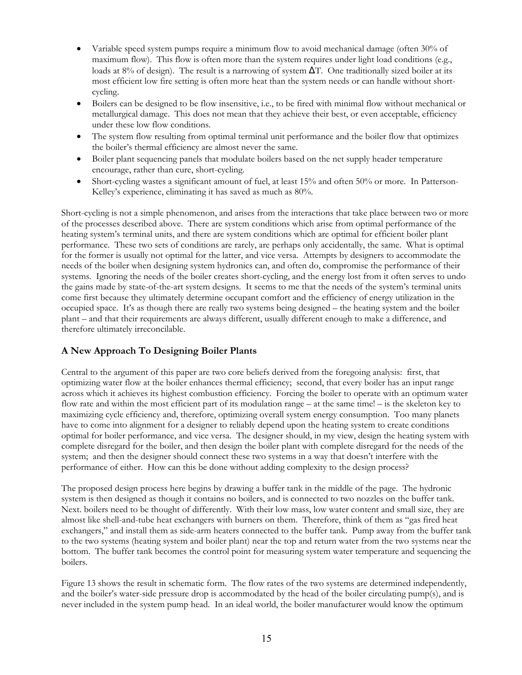- Variable speed system pumps require a minimum flow to avoid mechanical damage (often 30% of maximum flow). This flow is often more than the system requires under light load conditions (e.g., loads at 8% of design). The result is a narrowing of system ∆T. One traditionally sized boiler at its most efficient low fire setting is often more heat than the system needs or can handle without shortcycling.
- Boilers can be designed to be flow insensitive, i.e., to be fired with minimal flow without mechanical or metallurgical damage. This does not mean that they achieve their best, or even acceptable, efficiency under these low flow conditions.
- The system flow resulting from optimal terminal unit performance and the boiler flow that optimizes the boiler's thermal efficiency are almost never the same.
- Boiler plant sequencing panels that modulate boilers based on the net supply header temperature encourage, rather than cure, short-cycling.
- Short-cycling wastes a significant amount of fuel, at least 15% and often 50% or more. In Patterson-Kelley's experience, eliminating it has saved as much as 80%.

Short-cycling is not a simple phenomenon, and arises from the interactions that take place between two or more of the processes described above. There are system conditions which arise from optimal performance of the heating system's terminal units, and there are system conditions which are optimal for efficient boiler plant performance. These two sets of conditions are rarely, are perhaps only accidentally, the same. What is optimal for the former is usually not optimal for the latter, and vice versa. Attempts by designers to accommodate the needs of the boiler when designing system hydronics can, and often do, compromise the performance of their systems. Ignoring the needs of the boiler creates short-cycling, and the energy lost from it often serves to undo the gains made by state-of-the-art system designs. It seems to me that the needs of the system's terminal units come first because they ultimately determine occupant comfort and the efficiency of energy utilization in the occupied space. It's as though there are really two systems being designed – the heating system and the boiler plant – and that their requirements are always different, usually different enough to make a difference, and therefore ultimately irreconcilable.

#### **A New Approach To Designing Boiler Plants**

Central to the argument of this paper are two core beliefs derived from the foregoing analysis: first, that optimizing water flow at the boiler enhances thermal efficiency; second, that every boiler has an input range across which it achieves its highest combustion efficiency. Forcing the boiler to operate with an optimum water flow rate and within the most efficient part of its modulation range – at the same time! – is the skeleton key to maximizing cycle efficiency and, therefore, optimizing overall system energy consumption. Too many planets have to come into alignment for a designer to reliably depend upon the heating system to create conditions optimal for boiler performance, and vice versa. The designer should, in my view, design the heating system with complete disregard for the boiler, and then design the boiler plant with complete disregard for the needs of the system; and then the designer should connect these two systems in a way that doesn't interfere with the performance of either. How can this be done without adding complexity to the design process?

The proposed design process here begins by drawing a buffer tank in the middle of the page. The hydronic system is then designed as though it contains no boilers, and is connected to two nozzles on the buffer tank. Next. boilers need to be thought of differently. With their low mass, low water content and small size, they are almost like shell-and-tube heat exchangers with burners on them. Therefore, think of them as "gas fired heat exchangers," and install them as side-arm heaters connected to the buffer tank. Pump away from the buffer tank to the two systems (heating system and boiler plant) near the top and return water from the two systems near the bottom. The buffer tank becomes the control point for measuring system water temperature and sequencing the boilers.

Figure 13 shows the result in schematic form. The flow rates of the two systems are determined independently, and the boiler's water-side pressure drop is accommodated by the head of the boiler circulating pump(s), and is never included in the system pump head. In an ideal world, the boiler manufacturer would know the optimum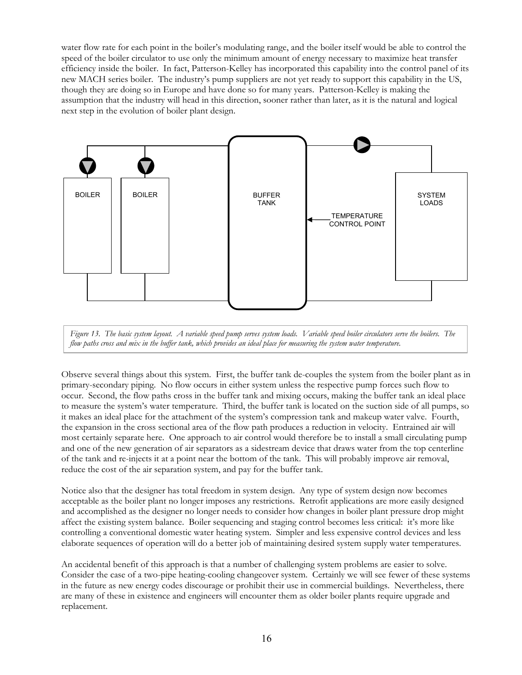water flow rate for each point in the boiler's modulating range, and the boiler itself would be able to control the speed of the boiler circulator to use only the minimum amount of energy necessary to maximize heat transfer efficiency inside the boiler. In fact, Patterson-Kelley has incorporated this capability into the control panel of its new MACH series boiler. The industry's pump suppliers are not yet ready to support this capability in the US, though they are doing so in Europe and have done so for many years. Patterson-Kelley is making the assumption that the industry will head in this direction, sooner rather than later, as it is the natural and logical next step in the evolution of boiler plant design.



*Figure 13. The basic system layout. A variable speed pump serves system loads. Variable speed boiler circulators serve the boilers. The flow paths cross and mix in the buffer tank, which provides an ideal place for measuring the system water temperature.* 

Observe several things about this system. First, the buffer tank de-couples the system from the boiler plant as in primary-secondary piping. No flow occurs in either system unless the respective pump forces such flow to occur. Second, the flow paths cross in the buffer tank and mixing occurs, making the buffer tank an ideal place to measure the system's water temperature. Third, the buffer tank is located on the suction side of all pumps, so it makes an ideal place for the attachment of the system's compression tank and makeup water valve. Fourth, the expansion in the cross sectional area of the flow path produces a reduction in velocity. Entrained air will most certainly separate here. One approach to air control would therefore be to install a small circulating pump and one of the new generation of air separators as a sidestream device that draws water from the top centerline of the tank and re-injects it at a point near the bottom of the tank. This will probably improve air removal, reduce the cost of the air separation system, and pay for the buffer tank.

Notice also that the designer has total freedom in system design. Any type of system design now becomes acceptable as the boiler plant no longer imposes any restrictions. Retrofit applications are more easily designed and accomplished as the designer no longer needs to consider how changes in boiler plant pressure drop might affect the existing system balance. Boiler sequencing and staging control becomes less critical: it's more like controlling a conventional domestic water heating system. Simpler and less expensive control devices and less elaborate sequences of operation will do a better job of maintaining desired system supply water temperatures.

An accidental benefit of this approach is that a number of challenging system problems are easier to solve. Consider the case of a two-pipe heating-cooling changeover system. Certainly we will see fewer of these systems in the future as new energy codes discourage or prohibit their use in commercial buildings. Nevertheless, there are many of these in existence and engineers will encounter them as older boiler plants require upgrade and replacement.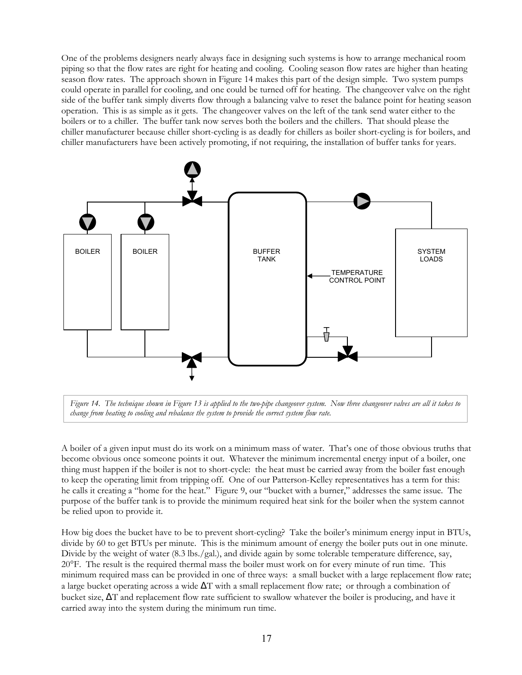One of the problems designers nearly always face in designing such systems is how to arrange mechanical room piping so that the flow rates are right for heating and cooling. Cooling season flow rates are higher than heating season flow rates. The approach shown in Figure 14 makes this part of the design simple. Two system pumps could operate in parallel for cooling, and one could be turned off for heating. The changeover valve on the right side of the buffer tank simply diverts flow through a balancing valve to reset the balance point for heating season operation. This is as simple as it gets. The changeover valves on the left of the tank send water either to the boilers or to a chiller. The buffer tank now serves both the boilers and the chillers. That should please the chiller manufacturer because chiller short-cycling is as deadly for chillers as boiler short-cycling is for boilers, and chiller manufacturers have been actively promoting, if not requiring, the installation of buffer tanks for years.





A boiler of a given input must do its work on a minimum mass of water. That's one of those obvious truths that become obvious once someone points it out. Whatever the minimum incremental energy input of a boiler, one thing must happen if the boiler is not to short-cycle: the heat must be carried away from the boiler fast enough to keep the operating limit from tripping off. One of our Patterson-Kelley representatives has a term for this: he calls it creating a "home for the heat." Figure 9, our "bucket with a burner," addresses the same issue. The purpose of the buffer tank is to provide the minimum required heat sink for the boiler when the system cannot be relied upon to provide it.

How big does the bucket have to be to prevent short-cycling? Take the boiler's minimum energy input in BTUs, divide by 60 to get BTUs per minute. This is the minimum amount of energy the boiler puts out in one minute. Divide by the weight of water (8.3 lbs./gal.), and divide again by some tolerable temperature difference, say, 20°F. The result is the required thermal mass the boiler must work on for every minute of run time. This minimum required mass can be provided in one of three ways: a small bucket with a large replacement flow rate; a large bucket operating across a wide  $\Delta T$  with a small replacement flow rate; or through a combination of bucket size, ∆T and replacement flow rate sufficient to swallow whatever the boiler is producing, and have it carried away into the system during the minimum run time.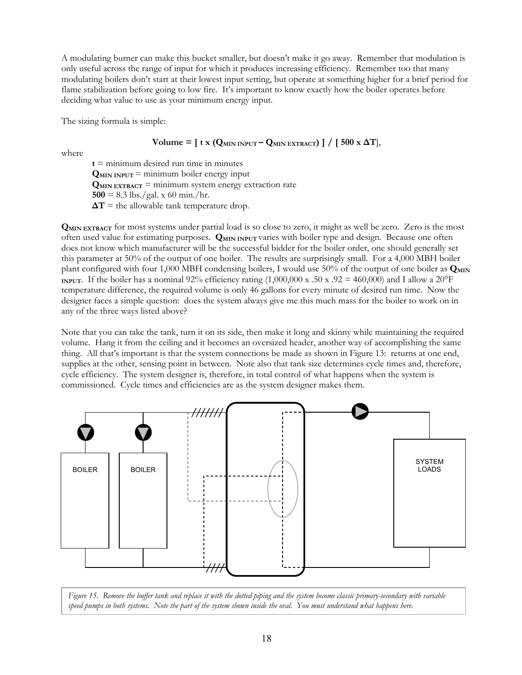A modulating burner can make this bucket smaller, but doesn't make it go away. Remember that modulation is only useful across the range of input for which it produces increasing efficiency. Remember too that many modulating boilers don't start at their lowest input setting, but operate at something higher for a brief period for flame stabilization before going to low fire. It's important to know exactly how the boiler operates before deciding what value to use as your minimum energy input.

The sizing formula is simple:

 $Volume = [ t x (Q_{MIN \text{ INPUT}} - Q_{MIN \text{ EXTRACT}}) ] / [500 x \Delta T]$ 

where

 $t =$  minimum desired run time in minutes  $Q_{MIN\;<sup>1</sup> = minimum boiler energy input$ **QMIN EXTRACT** = minimum system energy extraction rate  $500 = 8.3$  lbs./gal. x 60 min./hr.  $\Delta T$  = the allowable tank temperature drop.

**QMIN EXTRACT** for most systems under partial load is so close to zero, it might as well be zero. Zero is the most often used value for estimating purposes. **QMIN INPUT** varies with boiler type and design. Because one often does not know which manufacturer will be the successful bidder for the boiler order, one should generally set this parameter at 50% of the output of one boiler. The results are surprisingly small. For a 4,000 MBH boiler plant configured with four 1,000 MBH condensing boilers, I would use 50% of the output of one boiler as  $Q_{\text{MIN}}$ **INPUT**. If the boiler has a nominal 92% efficiency rating  $(1,000,000 \times .50 \times .92 = 460,000)$  and I allow a 20<sup>o</sup>F temperature difference, the required volume is only 46 gallons for every minute of desired run time. Now the designer faces a simple question: does the system always give me this much mass for the boiler to work on in any of the three ways listed above?

Note that you can take the tank, turn it on its side, then make it long and skinny while maintaining the required volume. Hang it from the ceiling and it becomes an oversized header, another way of accomplishing the same thing. All that's important is that the system connections be made as shown in Figure 13: returns at one end, supplies at the other, sensing point in between. Note also that tank size determines cycle times and, therefore, cycle efficiency. The system designer is, therefore, in total control of what happens when the system is commissioned. Cycle times and efficiencies are as the system designer makes them.



*Figure 15. Remove the buffer tank and replace it with the dotted piping and the system become classic primary-secondary with variable speed pumps in both systems. Note the part of the system shown inside the oval. You must understand what happens here.*